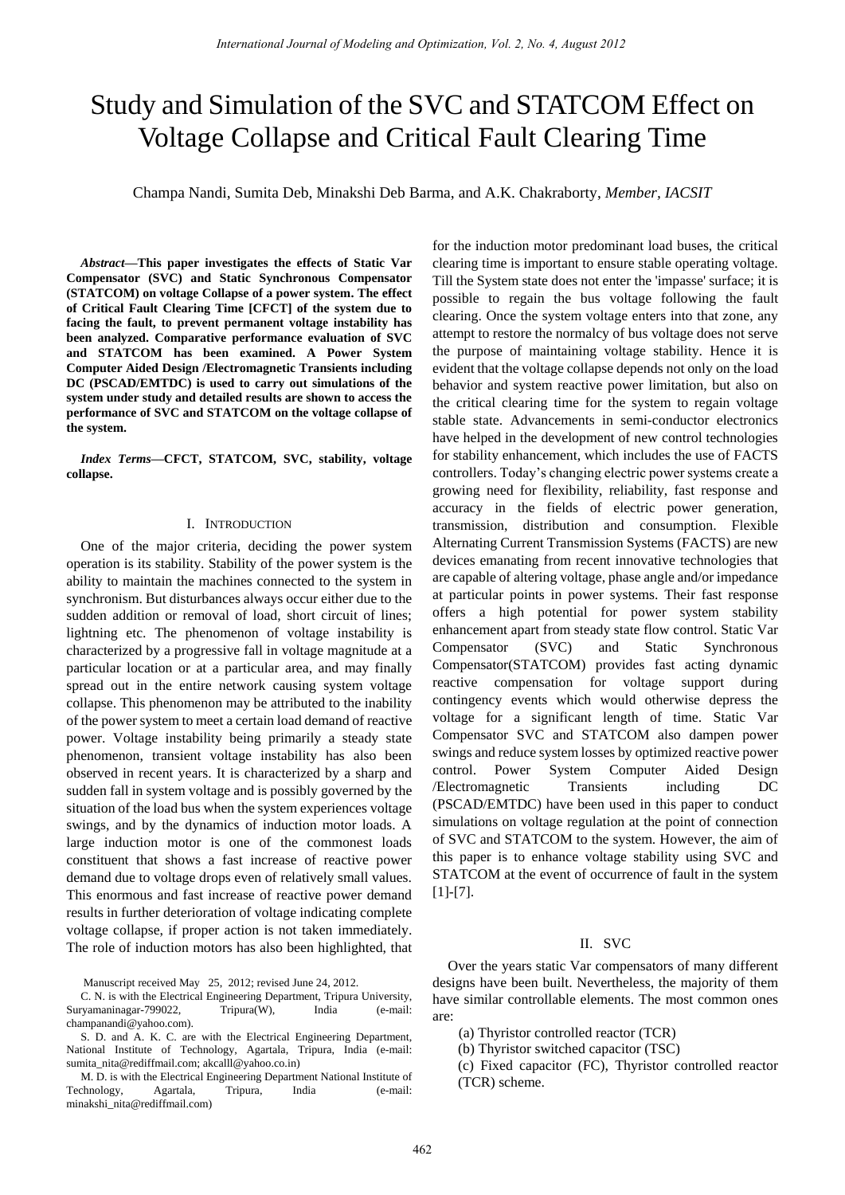# Study and Simulation of the SVC and STATCOM Effect on Voltage Collapse and Critical Fault Clearing Time

Champa Nandi, Sumita Deb, Minakshi Deb Barma, and A.K. Chakraborty, *Member, IACSIT*

*Abstract—***This paper investigates the effects of Static Var Compensator (SVC) and Static Synchronous Compensator (STATCOM) on voltage Collapse of a power system. The effect of Critical Fault Clearing Time [CFCT] of the system due to facing the fault, to prevent permanent voltage instability has been analyzed. Comparative performance evaluation of SVC and STATCOM has been examined. A Power System Computer Aided Design /Electromagnetic Transients including DC (PSCAD/EMTDC) is used to carry out simulations of the system under study and detailed results are shown to access the performance of SVC and STATCOM on the voltage collapse of the system.** 

*Index Terms—***CFCT, STATCOM, SVC, stability, voltage collapse.** 

#### I. INTRODUCTION

One of the major criteria, deciding the power system operation is its stability. Stability of the power system is the ability to maintain the machines connected to the system in synchronism. But disturbances always occur either due to the sudden addition or removal of load, short circuit of lines; lightning etc. The phenomenon of voltage instability is characterized by a progressive fall in voltage magnitude at a particular location or at a particular area, and may finally spread out in the entire network causing system voltage collapse. This phenomenon may be attributed to the inability of the power system to meet a certain load demand of reactive power. Voltage instability being primarily a steady state phenomenon, transient voltage instability has also been observed in recent years. It is characterized by a sharp and sudden fall in system voltage and is possibly governed by the situation of the load bus when the system experiences voltage swings, and by the dynamics of induction motor loads. A large induction motor is one of the commonest loads constituent that shows a fast increase of reactive power demand due to voltage drops even of relatively small values. This enormous and fast increase of reactive power demand results in further deterioration of voltage indicating complete voltage collapse, if proper action is not taken immediately. The role of induction motors has also been highlighted, that

Manuscript received May 25, 2012; revised June 24, 2012.

C. N. is with the Electrical Engineering Department, Tripura University, Suryamaninagar-799022, Tripura(W), India (e-mail: champanandi@yahoo.com).

S. D. and A. K. C. are with the Electrical Engineering Department, National Institute of Technology, Agartala, Tripura, India (e-mail: sumita\_nita@rediffmail.com; akcalll@yahoo.co.in)

M. D. is with the Electrical Engineering Department National Institute of Technology, Agartala, Tripura, India (e-mail: minakshi\_nita@rediffmail.com)

for the induction motor predominant load buses, the critical clearing time is important to ensure stable operating voltage. Till the System state does not enter the 'impasse' surface; it is possible to regain the bus voltage following the fault clearing. Once the system voltage enters into that zone, any attempt to restore the normalcy of bus voltage does not serve the purpose of maintaining voltage stability. Hence it is evident that the voltage collapse depends not only on the load behavior and system reactive power limitation, but also on the critical clearing time for the system to regain voltage stable state. Advancements in semi-conductor electronics have helped in the development of new control technologies for stability enhancement, which includes the use of FACTS controllers. Today's changing electric power systems create a growing need for flexibility, reliability, fast response and accuracy in the fields of electric power generation, transmission, distribution and consumption. Flexible Alternating Current Transmission Systems (FACTS) are new devices emanating from recent innovative technologies that are capable of altering voltage, phase angle and/or impedance at particular points in power systems. Their fast response offers a high potential for power system stability enhancement apart from steady state flow control. Static Var Compensator (SVC) and Static Synchronous Compensator(STATCOM) provides fast acting dynamic reactive compensation for voltage support during contingency events which would otherwise depress the voltage for a significant length of time. Static Var Compensator SVC and STATCOM also dampen power swings and reduce system losses by optimized reactive power control. Power System Computer Aided Design /Electromagnetic Transients including DC (PSCAD/EMTDC) have been used in this paper to conduct simulations on voltage regulation at the point of connection of SVC and STATCOM to the system. However, the aim of this paper is to enhance voltage stability using SVC and STATCOM at the event of occurrence of fault in the system [1]-[7].

### II. SVC

Over the years static Var compensators of many different designs have been built. Nevertheless, the majority of them have similar controllable elements. The most common ones are:

(a) Thyristor controlled reactor (TCR)

(b) Thyristor switched capacitor (TSC)

(c) Fixed capacitor (FC), Thyristor controlled reactor (TCR) scheme.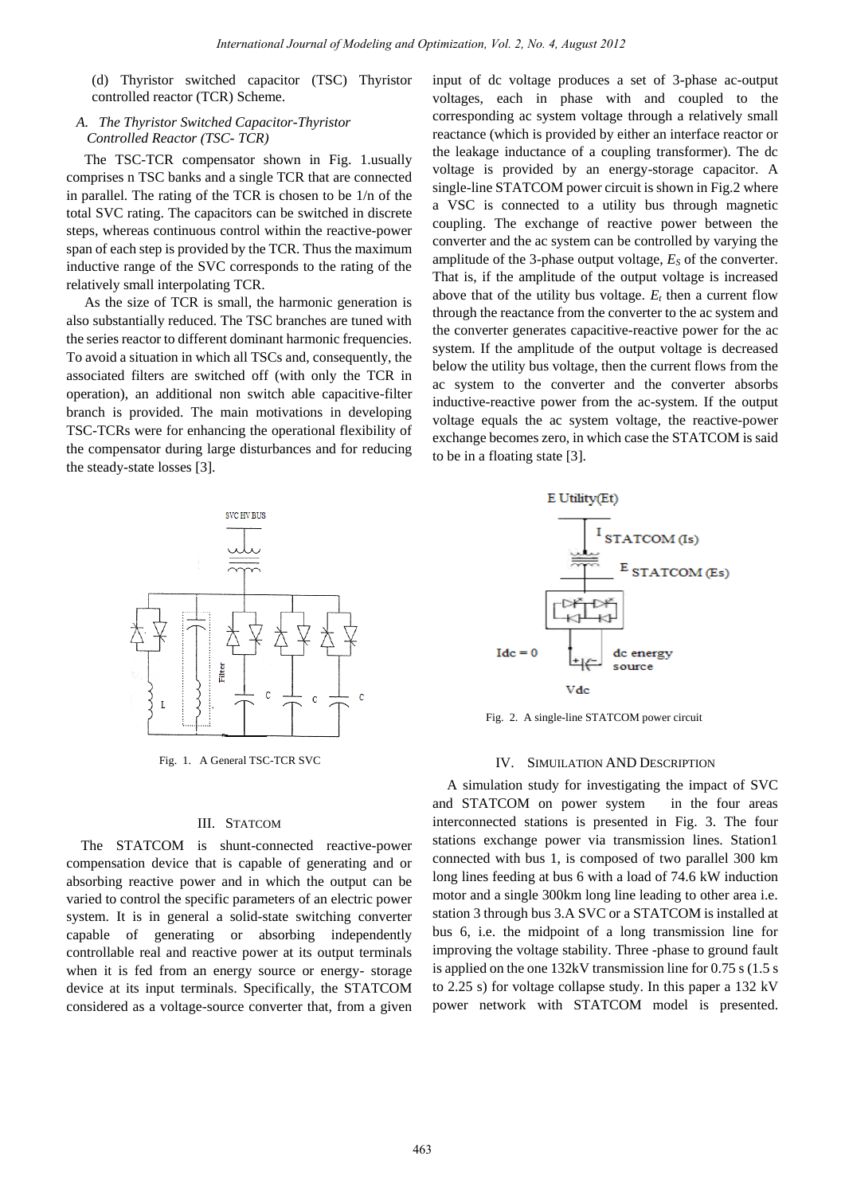(d) Thyristor switched capacitor (TSC) Thyristor controlled reactor (TCR) Scheme.

# *A. The Thyristor Switched Capacitor-Thyristor Controlled Reactor (TSC- TCR)*

 The TSC-TCR compensator shown in Fig. 1.usually comprises n TSC banks and a single TCR that are connected in parallel. The rating of the TCR is chosen to be 1/n of the total SVC rating. The capacitors can be switched in discrete steps, whereas continuous control within the reactive-power span of each step is provided by the TCR. Thus the maximum inductive range of the SVC corresponds to the rating of the relatively small interpolating TCR.

 As the size of TCR is small, the harmonic generation is also substantially reduced. The TSC branches are tuned with the series reactor to different dominant harmonic frequencies. To avoid a situation in which all TSCs and, consequently, the associated filters are switched off (with only the TCR in operation), an additional non switch able capacitive-filter branch is provided. The main motivations in developing TSC-TCRs were for enhancing the operational flexibility of the compensator during large disturbances and for reducing the steady-state losses [3].



Fig. 1. A General TSC-TCR SVC

#### III. STATCOM

The STATCOM is shunt-connected reactive-power compensation device that is capable of generating and or absorbing reactive power and in which the output can be varied to control the specific parameters of an electric power system. It is in general a solid-state switching converter capable of generating or absorbing independently controllable real and reactive power at its output terminals when it is fed from an energy source or energy- storage device at its input terminals. Specifically, the STATCOM considered as a voltage-source converter that, from a given input of dc voltage produces a set of 3-phase ac-output voltages, each in phase with and coupled to the corresponding ac system voltage through a relatively small reactance (which is provided by either an interface reactor or the leakage inductance of a coupling transformer). The dc voltage is provided by an energy-storage capacitor. A single-line STATCOM power circuit is shown in Fig.2 where a VSC is connected to a utility bus through magnetic coupling. The exchange of reactive power between the converter and the ac system can be controlled by varying the amplitude of the 3-phase output voltage,  $E<sub>S</sub>$  of the converter. That is, if the amplitude of the output voltage is increased above that of the utility bus voltage.  $E_t$  then a current flow through the reactance from the converter to the ac system and the converter generates capacitive-reactive power for the ac system. If the amplitude of the output voltage is decreased below the utility bus voltage, then the current flows from the ac system to the converter and the converter absorbs inductive-reactive power from the ac-system. If the output voltage equals the ac system voltage, the reactive-power exchange becomes zero, in which case the STATCOM is said to be in a floating state [3].





Fig. 2. A single-line STATCOM power circuit

#### IV. SIMUILATION AND DESCRIPTION

A simulation study for investigating the impact of SVC and STATCOM on power system in the four areas interconnected stations is presented in Fig. 3. The four stations exchange power via transmission lines. Station1 connected with bus 1, is composed of two parallel 300 km long lines feeding at bus 6 with a load of 74.6 kW induction motor and a single 300km long line leading to other area i.e. station 3 through bus 3.A SVC or a STATCOM is installed at bus 6, i.e. the midpoint of a long transmission line for improving the voltage stability. Three -phase to ground fault is applied on the one 132kV transmission line for 0.75 s (1.5 s to 2.25 s) for voltage collapse study. In this paper a 132 kV power network with STATCOM model is presented.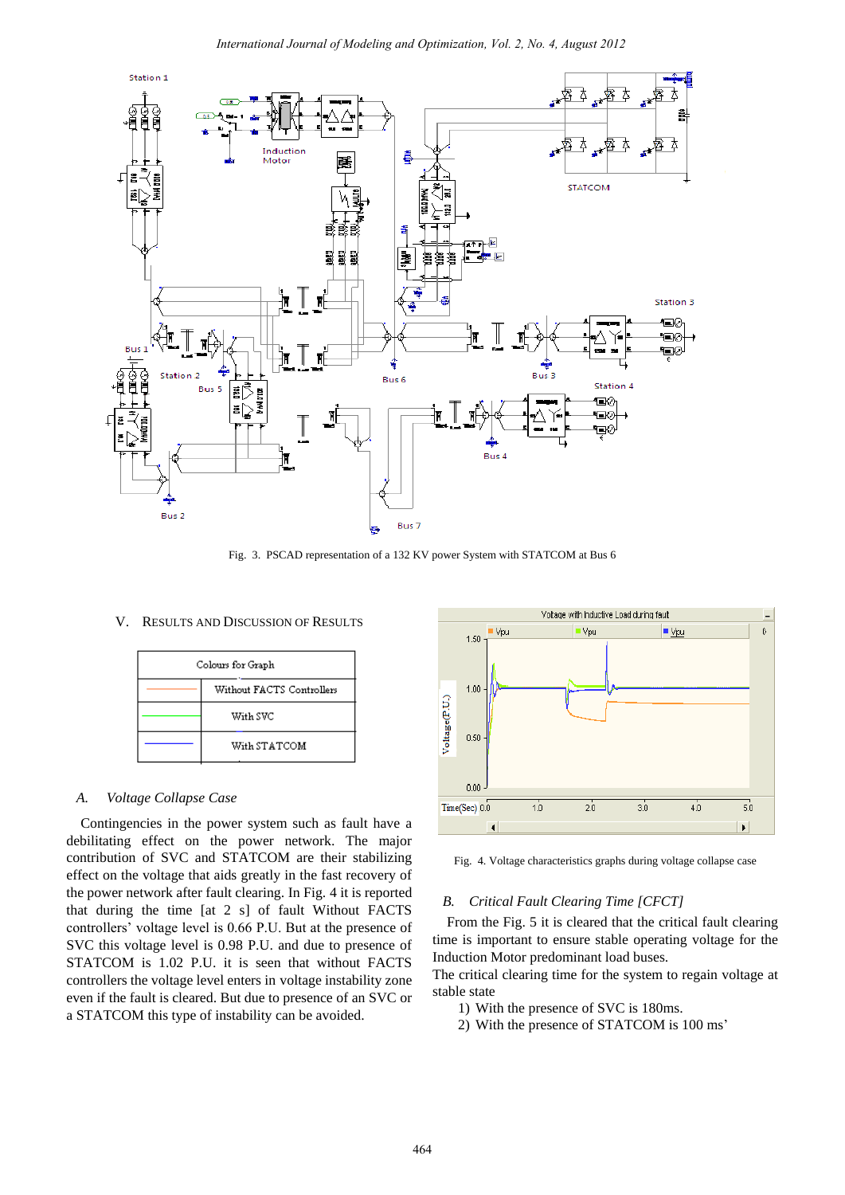

Fig. 3. PSCAD representation of a 132 KV power System with STATCOM at Bus 6

#### V. RESULTS AND DISCUSSION OF RESULTS

| Colours for Graph |                           |
|-------------------|---------------------------|
|                   | Without FACTS Controllers |
|                   | With SVC                  |
|                   | With STATCOM              |

## *A. Voltage Collapse Case*

Contingencies in the power system such as fault have a debilitating effect on the power network. The major contribution of SVC and STATCOM are their stabilizing effect on the voltage that aids greatly in the fast recovery of the power network after fault clearing. In Fig. 4 it is reported that during the time [at 2 s] of fault Without FACTS controllers' voltage level is 0.66 P.U. But at the presence of SVC this voltage level is 0.98 P.U. and due to presence of STATCOM is 1.02 P.U. it is seen that without FACTS controllers the voltage level enters in voltage instability zone even if the fault is cleared. But due to presence of an SVC or a STATCOM this type of instability can be avoided.



Fig. 4. Voltage characteristics graphs during voltage collapse case

## *B. Critical Fault Clearing Time [CFCT]*

From the Fig. 5 it is cleared that the critical fault clearing time is important to ensure stable operating voltage for the Induction Motor predominant load buses.

The critical clearing time for the system to regain voltage at stable state

- 1) With the presence of SVC is 180ms.
- 2) With the presence of STATCOM is 100 ms'